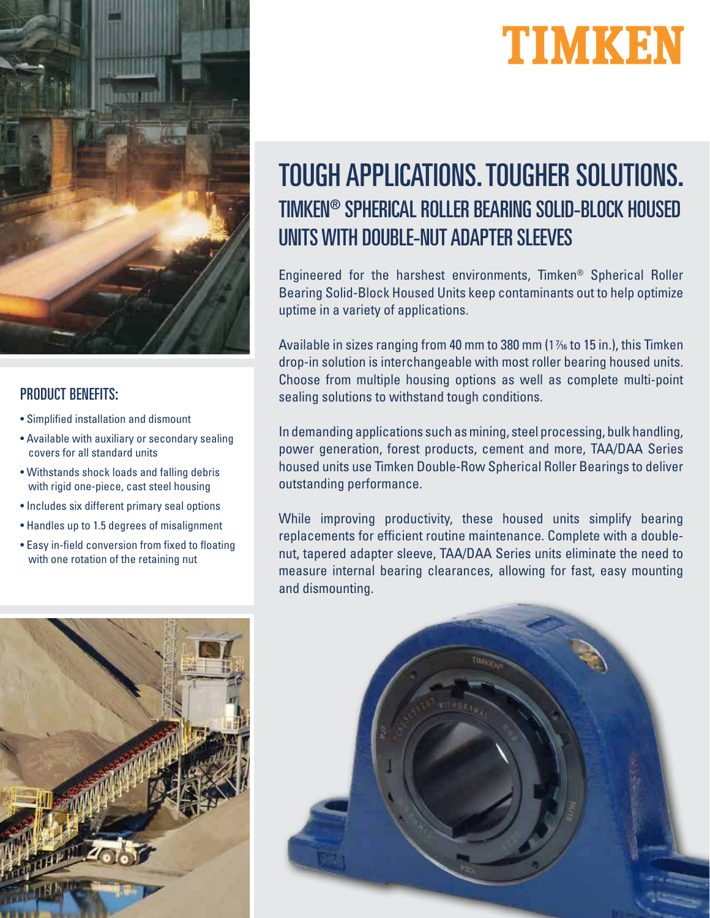



### PRODUCT BENEFITS:

- Simplified installation and dismount
- Available with auxiliary or secondary sealing covers for all standard units
- Withstands shock loads and falling debris with rigid one-piece, cast steel housing
- Includes six different primary seal options
- Handles up to 1.5 degrees of misalignment
- Easy in-field conversion from fixed to floating with one rotation of the retaining nut

# TOUGH APPLICATIONS. TOUGHER SOLUTIONS. TIMKEN® SPHERICAL ROLLER BEARING SOLID-BLOCK HOUSED UNITS WITH DOUBLE-NUT ADAPTER SLEEVES

Engineered for the harshest environments, Timken® Spherical Roller Bearing Solid-Block Housed Units keep contaminants out to help optimize uptime in a variety of applications.

Available in sizes ranging from 40 mm to 380 mm  $(1\frac{1}{16})$  to 15 in.), this Timken drop-in solution is interchangeable with most roller bearing housed units. Choose from multiple housing options as well as complete multi-point sealing solutions to withstand tough conditions.

In demanding applications such as mining, steel processing, bulk handling, power generation, forest products, cement and more, TAA/DAA Series housed units use Timken Double-Row Spherical Roller Bearings to deliver outstanding performance.

While improving productivity, these housed units simplify bearing replacements for efficient routine maintenance. Complete with a doublenut, tapered adapter sleeve, TAA/DAA Series units eliminate the need to measure internal bearing clearances, allowing for fast, easy mounting and dismounting.